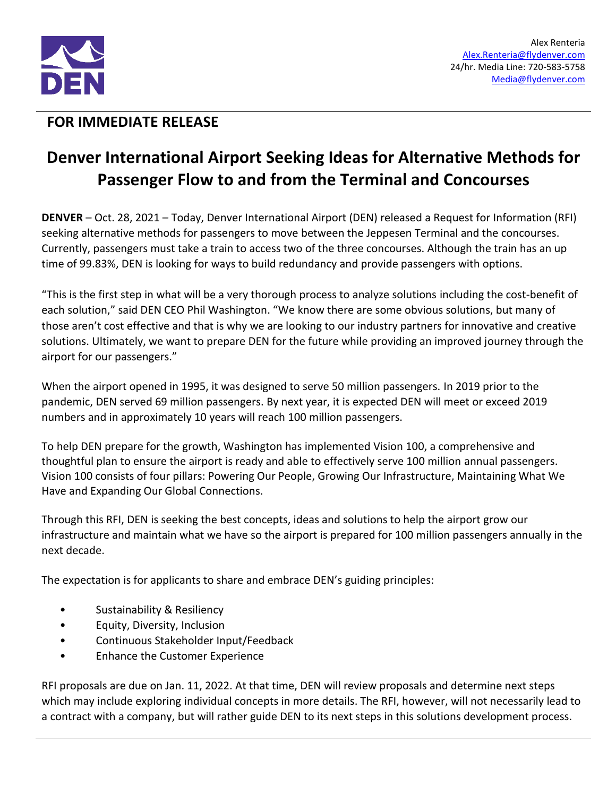

## **FOR IMMEDIATE RELEASE**

## **Denver International Airport Seeking Ideas for Alternative Methods for Passenger Flow to and from the Terminal and Concourses**

**DENVER** – Oct. 28, 2021 – Today, Denver International Airport (DEN) released a Request for Information (RFI) seeking alternative methods for passengers to move between the Jeppesen Terminal and the concourses. Currently, passengers must take a train to access two of the three concourses. Although the train has an up time of 99.83%, DEN is looking for ways to build redundancy and provide passengers with options.

"This is the first step in what will be a very thorough process to analyze solutions including the cost-benefit of each solution," said DEN CEO Phil Washington. "We know there are some obvious solutions, but many of those aren't cost effective and that is why we are looking to our industry partners for innovative and creative solutions. Ultimately, we want to prepare DEN for the future while providing an improved journey through the airport for our passengers."

When the airport opened in 1995, it was designed to serve 50 million passengers. In 2019 prior to the pandemic, DEN served 69 million passengers. By next year, it is expected DEN will meet or exceed 2019 numbers and in approximately 10 years will reach 100 million passengers.

To help DEN prepare for the growth, Washington has implemented Vision 100, a comprehensive and thoughtful plan to ensure the airport is ready and able to effectively serve 100 million annual passengers. Vision 100 consists of four pillars: Powering Our People, Growing Our Infrastructure, Maintaining What We Have and Expanding Our Global Connections.

Through this RFI, DEN is seeking the best concepts, ideas and solutions to help the airport grow our infrastructure and maintain what we have so the airport is prepared for 100 million passengers annually in the next decade.

The expectation is for applicants to share and embrace DEN's guiding principles:

- Sustainability & Resiliency
- Equity, Diversity, Inclusion
- Continuous Stakeholder Input/Feedback
- Enhance the Customer Experience

RFI proposals are due on Jan. 11, 2022. At that time, DEN will review proposals and determine next steps which may include exploring individual concepts in more details. The RFI, however, will not necessarily lead to a contract with a company, but will rather guide DEN to its next steps in this solutions development process.